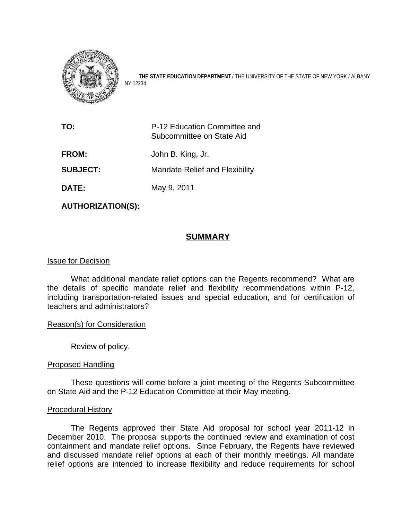

THE STATE EDUCATION DEPARTMENT / THE UNIVERSITY OF THE STATE OF NEW YORK / ALBANY, NY 12234

| TO:             | P-12 Education Committee and<br>Subcommittee on State Aid |
|-----------------|-----------------------------------------------------------|
| <b>FROM:</b>    | John B. King, Jr.                                         |
| <b>SUBJECT:</b> | <b>Mandate Relief and Flexibility</b>                     |
| <b>DATE:</b>    | May 9, 2011                                               |

**AUTHORIZATION(S):** 

### **SUMMARY**

#### Issue for Decision

What additional mandate relief options can the Regents recommend? What are the details of specific mandate relief and flexibility recommendations within P-12, including transportation-related issues and special education, and for certification of teachers and administrators?

#### Reason(s) for Consideration

Review of policy.

#### Proposed Handling

 These questions will come before a joint meeting of the Regents Subcommittee on State Aid and the P-12 Education Committee at their May meeting.

#### Procedural History

The Regents approved their State Aid proposal for school year 2011-12 in Decem ber 2010. The proposal supports the continued review and examination of cost relief options are intended to increase flexibility and reduce requirements for school containment and mandate relief options. Since February, the Regents have reviewed and discussed mandate relief options at each of their monthly meetings. All mandate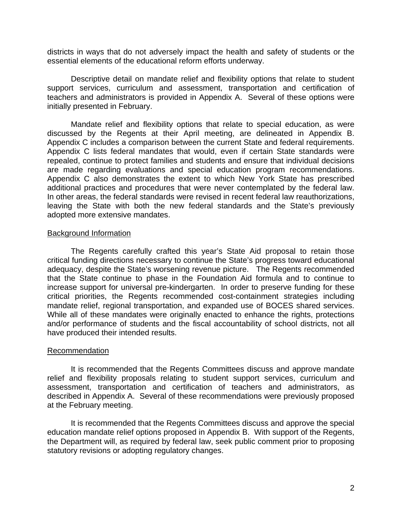districts in ways that do not adversely impact the health and safety of students or the essent ial elements of the educational reform efforts underway.

Descriptive detail on mandate relief and flexibility options that relate to student support services, curriculum and assessment, transportation and certification of teachers and administrators is provided in Appendix A. Several of these options were initially presented in February.

Appendix C lists federal mandates that would, even if certain State standards were repealed, continue to protect families and students and ensure that individual decisions are made regarding evaluations and special education program recommendations. Appendix C also demonstrates the extent to which New York State has prescribed additio nal practices and procedures that were never contemplated by the federal law. Mandate relief and flexibility options that relate to special education, as were discussed by the Regents at their April meeting, are delineated in Appendix B. Appendix C includes a comparison between the current State and federal requirements. In other areas, the federal standards were revised in recent federal law reauthorizations, leaving the State with both the new federal standards and the State's previously adopted more extensive mandates.

#### Background Information

The Regents carefully crafted this year's State Aid proposal to retain those critical funding directions necessary to continue the State's progress toward educational adequacy, despite the State's worsening revenue picture. The Regents recommended that the State continue to phase in the Foundation Aid formula and to continue to increase support for universal pre-kindergarten. In order to preserve funding for these ritical priorities, the Regents recommended cost-containment strategies including c manda te relief, regional transportation, and expanded use of BOCES shared services. While all of these mandates were originally enacted to enhance the rights, protections and/or performance of students and the fiscal accountability of school districts, not all have produced their intended results.

#### Recommendation

assessment, transportation and certification of teachers and administrators, as described in Appendix A. Several of these recommendations were previously proposed at the February meeting. It is recommended that the Regents Committees discuss and approve mandate relief and flexibility proposals relating to student support services, curriculum and

education mandate relief options proposed in Appendix B. With support of the Regents, the Department will, as required by federal law, seek public comment prior to proposing statutory revisions or adopting regulatory changes. It is recommended that the Regents Committees discuss and approve the special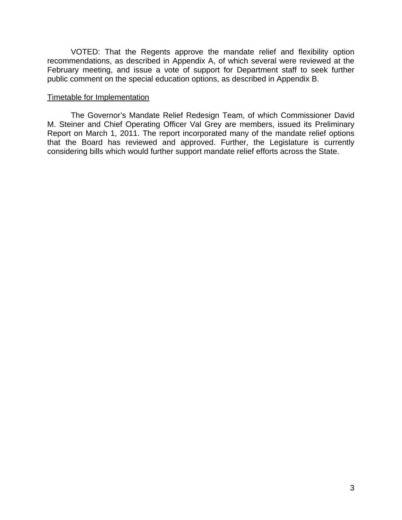VOTED: That the Regents approve the mandate relief and flexibility option recommendations, as described in Appendix A, of which several were reviewed at the February meeting, and issue a vote of support for Department staff to seek further public comment on the special education options, as described in Appendix B.

#### Timetable for Implementation

The Governor's Mandate Relief Redesign Team, of which Commissioner David M. Steiner and Chief Operating Officer Val Grey are members, issued its Preliminary Report on March 1, 2011. The report incorporated many of the mandate relief options that the Board has reviewed and approved. Further, the Legislature is currently considering bills which would further support mandate relief efforts across the State.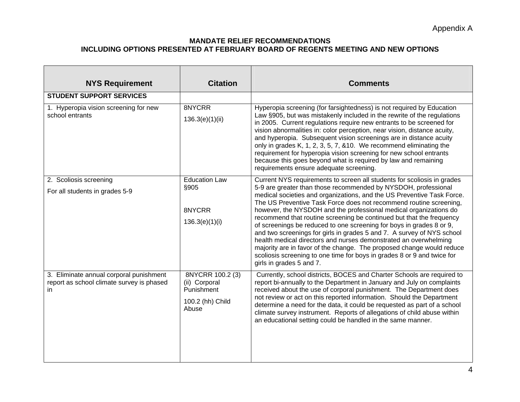#### **MANDATE RELIEF RECOMMENDATIONS INCLUDING OPTIONS PRESENTED AT FEBRUARY BOARD OF REGENTS MEETING AND NEW OPTIONS**

| <b>NYS Requirement</b>                                                                      | <b>Citation</b>                                                              | <b>Comments</b>                                                                                                                                                                                                                                                                                                                                                                                                                                                                                                                                                                                                                                                                                                                                                                                                                              |
|---------------------------------------------------------------------------------------------|------------------------------------------------------------------------------|----------------------------------------------------------------------------------------------------------------------------------------------------------------------------------------------------------------------------------------------------------------------------------------------------------------------------------------------------------------------------------------------------------------------------------------------------------------------------------------------------------------------------------------------------------------------------------------------------------------------------------------------------------------------------------------------------------------------------------------------------------------------------------------------------------------------------------------------|
| <b>STUDENT SUPPORT SERVICES</b>                                                             |                                                                              |                                                                                                                                                                                                                                                                                                                                                                                                                                                                                                                                                                                                                                                                                                                                                                                                                                              |
| 1. Hyperopia vision screening for new<br>school entrants                                    | 8NYCRR<br>136.3(e)(1)(ii)                                                    | Hyperopia screening (for farsightedness) is not required by Education<br>Law §905, but was mistakenly included in the rewrite of the regulations<br>in 2005. Current regulations require new entrants to be screened for<br>vision abnormalities in: color perception, near vision, distance acuity,<br>and hyperopia. Subsequent vision screenings are in distance acuity<br>only in grades K, 1, 2, 3, 5, 7, & 10. We recommend eliminating the<br>requirement for hyperopia vision screening for new school entrants<br>because this goes beyond what is required by law and remaining<br>requirements ensure adequate screening.                                                                                                                                                                                                         |
| 2. Scoliosis screening<br>For all students in grades 5-9                                    | <b>Education Law</b><br>§905<br>8NYCRR<br>136.3(e)(1)(i)                     | Current NYS requirements to screen all students for scoliosis in grades<br>5-9 are greater than those recommended by NYSDOH, professional<br>medical societies and organizations, and the US Preventive Task Force.<br>The US Preventive Task Force does not recommend routine screening,<br>however, the NYSDOH and the professional medical organizations do<br>recommend that routine screening be continued but that the frequency<br>of screenings be reduced to one screening for boys in grades 8 or 9,<br>and two screenings for girls in grades 5 and 7. A survey of NYS school<br>health medical directors and nurses demonstrated an overwhelming<br>majority are in favor of the change. The proposed change would reduce<br>scoliosis screening to one time for boys in grades 8 or 9 and twice for<br>girls in grades 5 and 7. |
| 3. Eliminate annual corporal punishment<br>report as school climate survey is phased<br>in. | 8NYCRR 100.2 (3)<br>(ii) Corporal<br>Punishment<br>100.2 (hh) Child<br>Abuse | Currently, school districts, BOCES and Charter Schools are required to<br>report bi-annually to the Department in January and July on complaints<br>received about the use of corporal punishment. The Department does<br>not review or act on this reported information. Should the Department<br>determine a need for the data, it could be requested as part of a school<br>climate survey instrument. Reports of allegations of child abuse within<br>an educational setting could be handled in the same manner.                                                                                                                                                                                                                                                                                                                        |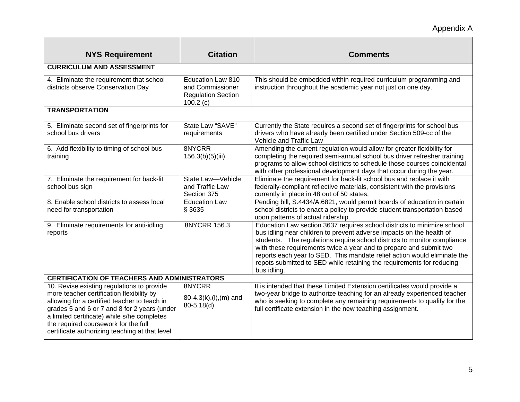# Appendix A

| <b>NYS Requirement</b>                                                                                                                                                                                                                                                                                                           | <b>Citation</b>                                                                | <b>Comments</b>                                                                                                                                                                                                                                                                                                                                                                                                                                                       |
|----------------------------------------------------------------------------------------------------------------------------------------------------------------------------------------------------------------------------------------------------------------------------------------------------------------------------------|--------------------------------------------------------------------------------|-----------------------------------------------------------------------------------------------------------------------------------------------------------------------------------------------------------------------------------------------------------------------------------------------------------------------------------------------------------------------------------------------------------------------------------------------------------------------|
| <b>CURRICULUM AND ASSESSMENT</b>                                                                                                                                                                                                                                                                                                 |                                                                                |                                                                                                                                                                                                                                                                                                                                                                                                                                                                       |
| 4. Eliminate the requirement that school<br>districts observe Conservation Day                                                                                                                                                                                                                                                   | Education Law 810<br>and Commissioner<br><b>Regulation Section</b><br>100.2(c) | This should be embedded within required curriculum programming and<br>instruction throughout the academic year not just on one day.                                                                                                                                                                                                                                                                                                                                   |
| <b>TRANSPORTATION</b>                                                                                                                                                                                                                                                                                                            |                                                                                |                                                                                                                                                                                                                                                                                                                                                                                                                                                                       |
| 5. Eliminate second set of fingerprints for<br>school bus drivers                                                                                                                                                                                                                                                                | State Law "SAVE"<br>requirements                                               | Currently the State requires a second set of fingerprints for school bus<br>drivers who have already been certified under Section 509-cc of the<br>Vehicle and Traffic Law                                                                                                                                                                                                                                                                                            |
| 6. Add flexibility to timing of school bus<br>training                                                                                                                                                                                                                                                                           | 8NYCRR<br>156.3(b)(5)(iii)                                                     | Amending the current regulation would allow for greater flexibility for<br>completing the required semi-annual school bus driver refresher training<br>programs to allow school districts to schedule those courses coincidental<br>with other professional development days that occur during the year.                                                                                                                                                              |
| 7. Eliminate the requirement for back-lit<br>school bus sign                                                                                                                                                                                                                                                                     | State Law-Vehicle<br>and Traffic Law<br>Section 375                            | Eliminate the requirement for back-lit school bus and replace it with<br>federally-compliant reflective materials, consistent with the provisions<br>currently in place in 48 out of 50 states.                                                                                                                                                                                                                                                                       |
| 8. Enable school districts to assess local<br>need for transportation                                                                                                                                                                                                                                                            | <b>Education Law</b><br>§ 3635                                                 | Pending bill, S.4434/A.6821, would permit boards of education in certain<br>school districts to enact a policy to provide student transportation based<br>upon patterns of actual ridership.                                                                                                                                                                                                                                                                          |
| 9. Eliminate requirements for anti-idling<br>reports                                                                                                                                                                                                                                                                             | 8NYCRR 156.3                                                                   | Education Law section 3637 requires school districts to minimize school<br>bus idling near children to prevent adverse impacts on the health of<br>students. The regulations require school districts to monitor compliance<br>with these requirements twice a year and to prepare and submit two<br>reports each year to SED. This mandate relief action would eliminate the<br>repots submitted to SED while retaining the requirements for reducing<br>bus idling. |
| <b>CERTIFICATION OF TEACHERS AND ADMINISTRATORS</b>                                                                                                                                                                                                                                                                              |                                                                                |                                                                                                                                                                                                                                                                                                                                                                                                                                                                       |
| 10. Revise existing regulations to provide<br>more teacher certification flexibility by<br>allowing for a certified teacher to teach in<br>grades 5 and 6 or 7 and 8 for 2 years (under<br>a limited certificate) while s/he completes<br>the required coursework for the full<br>certificate authorizing teaching at that level | 8NYCRR<br>80-4.3(k),(l),(m) and<br>$80 - 5.18(d)$                              | It is intended that these Limited Extension certificates would provide a<br>two-year bridge to authorize teaching for an already experienced teacher<br>who is seeking to complete any remaining requirements to qualify for the<br>full certificate extension in the new teaching assignment.                                                                                                                                                                        |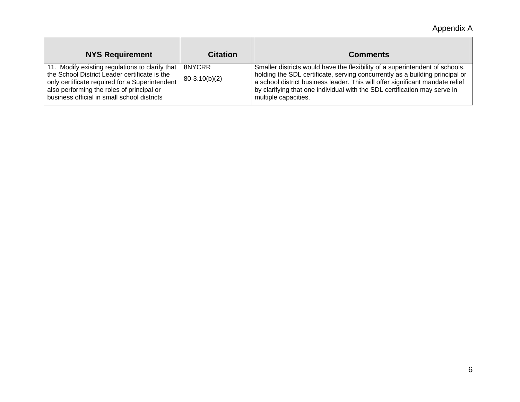Appendix A

| <b>NYS Requirement</b>                                                                                                                                                                                                                         | <b>Citation</b>           | <b>Comments</b>                                                                                                                                                                                                                                                                                                                                    |
|------------------------------------------------------------------------------------------------------------------------------------------------------------------------------------------------------------------------------------------------|---------------------------|----------------------------------------------------------------------------------------------------------------------------------------------------------------------------------------------------------------------------------------------------------------------------------------------------------------------------------------------------|
| 11. Modify existing regulations to clarify that<br>the School District Leader certificate is the<br>only certificate required for a Superintendent<br>also performing the roles of principal or<br>business official in small school districts | 8NYCRR<br>$80-3.10(b)(2)$ | Smaller districts would have the flexibility of a superintendent of schools,<br>holding the SDL certificate, serving concurrently as a building principal or<br>a school district business leader. This will offer significant mandate relief<br>by clarifying that one individual with the SDL certification may serve in<br>multiple capacities. |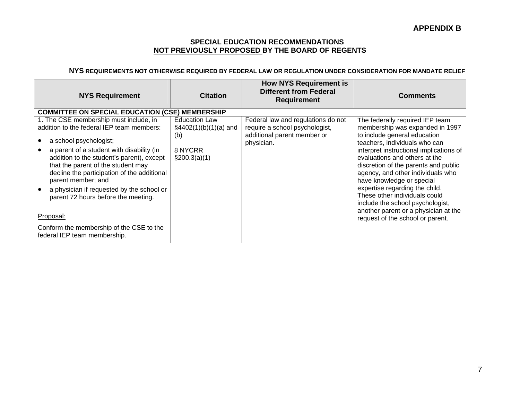#### **SPECIAL EDUCATION RECOMMENDATIONS NOT PREVIOUSLY PROPOSED BY THE BOARD OF REGENTS**

#### **NYS REQUIREMENTS NOT OTHERWISE REQUIRED BY FEDERAL LAW OR REGULATION UNDER CONSIDERATION FOR MANDATE RELIEF**

| <b>NYS Requirement</b>                                                                                                                                                                                                                                                                                                                                                                                 | <b>Citation</b>                                                                                | <b>How NYS Requirement is</b><br><b>Different from Federal</b><br><b>Requirement</b>                              | <b>Comments</b>                                                                                                                                                                                                                                                                                                                                                                                                                                                          |
|--------------------------------------------------------------------------------------------------------------------------------------------------------------------------------------------------------------------------------------------------------------------------------------------------------------------------------------------------------------------------------------------------------|------------------------------------------------------------------------------------------------|-------------------------------------------------------------------------------------------------------------------|--------------------------------------------------------------------------------------------------------------------------------------------------------------------------------------------------------------------------------------------------------------------------------------------------------------------------------------------------------------------------------------------------------------------------------------------------------------------------|
| <b>COMMITTEE ON SPECIAL EDUCATION (CSE) MEMBERSHIP</b>                                                                                                                                                                                                                                                                                                                                                 |                                                                                                |                                                                                                                   |                                                                                                                                                                                                                                                                                                                                                                                                                                                                          |
| 1. The CSE membership must include, in<br>addition to the federal IEP team members:<br>a school psychologist;<br>a parent of a student with disability (in<br>addition to the student's parent), except<br>that the parent of the student may<br>decline the participation of the additional<br>parent member; and<br>a physician if requested by the school or<br>parent 72 hours before the meeting. | <b>Education Law</b><br>$\frac{1}{2}4402(1)(b)(1)(a)$ and<br>(b)<br>8 NYCRR<br>$\S200.3(a)(1)$ | Federal law and regulations do not<br>require a school psychologist,<br>additional parent member or<br>physician. | The federally required IEP team<br>membership was expanded in 1997<br>to include general education<br>teachers, individuals who can<br>interpret instructional implications of<br>evaluations and others at the<br>discretion of the parents and public<br>agency, and other individuals who<br>have knowledge or special<br>expertise regarding the child.<br>These other individuals could<br>include the school psychologist,<br>another parent or a physician at the |
| Proposal:                                                                                                                                                                                                                                                                                                                                                                                              |                                                                                                |                                                                                                                   | request of the school or parent.                                                                                                                                                                                                                                                                                                                                                                                                                                         |
| Conform the membership of the CSE to the<br>federal IEP team membership.                                                                                                                                                                                                                                                                                                                               |                                                                                                |                                                                                                                   |                                                                                                                                                                                                                                                                                                                                                                                                                                                                          |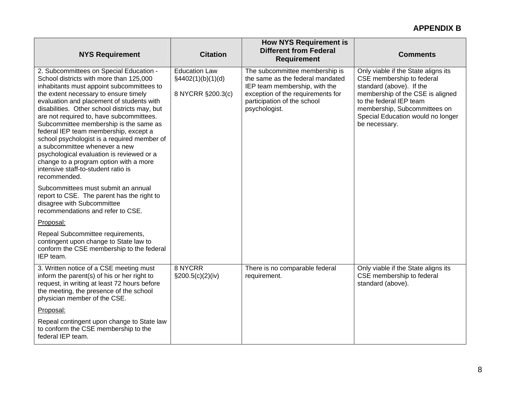| <b>NYS Requirement</b>                                                                                                                                                                                                                                                                                                                                                                                                                                                                                                                                                                                                                                                     | <b>Citation</b>                                                | <b>How NYS Requirement is</b><br><b>Different from Federal</b><br><b>Requirement</b>                                                                                                     | <b>Comments</b>                                                                                                                                                                                                                                   |
|----------------------------------------------------------------------------------------------------------------------------------------------------------------------------------------------------------------------------------------------------------------------------------------------------------------------------------------------------------------------------------------------------------------------------------------------------------------------------------------------------------------------------------------------------------------------------------------------------------------------------------------------------------------------------|----------------------------------------------------------------|------------------------------------------------------------------------------------------------------------------------------------------------------------------------------------------|---------------------------------------------------------------------------------------------------------------------------------------------------------------------------------------------------------------------------------------------------|
| 2. Subcommittees on Special Education -<br>School districts with more than 125,000<br>inhabitants must appoint subcommittees to<br>the extent necessary to ensure timely<br>evaluation and placement of students with<br>disabilities. Other school districts may, but<br>are not required to, have subcommittees.<br>Subcommittee membership is the same as<br>federal IEP team membership, except a<br>school psychologist is a required member of<br>a subcommittee whenever a new<br>psychological evaluation is reviewed or a<br>change to a program option with a more<br>intensive staff-to-student ratio is<br>recommended.<br>Subcommittees must submit an annual | <b>Education Law</b><br>§4402(1)(b)(1)(d)<br>8 NYCRR §200.3(c) | The subcommittee membership is<br>the same as the federal mandated<br>IEP team membership, with the<br>exception of the requirements for<br>participation of the school<br>psychologist. | Only viable if the State aligns its<br>CSE membership to federal<br>standard (above). If the<br>membership of the CSE is aligned<br>to the federal IEP team<br>membership, Subcommittees on<br>Special Education would no longer<br>be necessary. |
| report to CSE. The parent has the right to<br>disagree with Subcommittee<br>recommendations and refer to CSE.                                                                                                                                                                                                                                                                                                                                                                                                                                                                                                                                                              |                                                                |                                                                                                                                                                                          |                                                                                                                                                                                                                                                   |
| Proposal:                                                                                                                                                                                                                                                                                                                                                                                                                                                                                                                                                                                                                                                                  |                                                                |                                                                                                                                                                                          |                                                                                                                                                                                                                                                   |
| Repeal Subcommittee requirements,<br>contingent upon change to State law to<br>conform the CSE membership to the federal<br>IEP team.                                                                                                                                                                                                                                                                                                                                                                                                                                                                                                                                      |                                                                |                                                                                                                                                                                          |                                                                                                                                                                                                                                                   |
| 3. Written notice of a CSE meeting must<br>inform the parent(s) of his or her right to<br>request, in writing at least 72 hours before<br>the meeting, the presence of the school<br>physician member of the CSE.                                                                                                                                                                                                                                                                                                                                                                                                                                                          | 8 NYCRR<br>$\S200.5(c)(2)(iv)$                                 | There is no comparable federal<br>requirement.                                                                                                                                           | Only viable if the State aligns its<br>CSE membership to federal<br>standard (above).                                                                                                                                                             |
| Proposal:                                                                                                                                                                                                                                                                                                                                                                                                                                                                                                                                                                                                                                                                  |                                                                |                                                                                                                                                                                          |                                                                                                                                                                                                                                                   |
| Repeal contingent upon change to State law<br>to conform the CSE membership to the<br>federal IEP team.                                                                                                                                                                                                                                                                                                                                                                                                                                                                                                                                                                    |                                                                |                                                                                                                                                                                          |                                                                                                                                                                                                                                                   |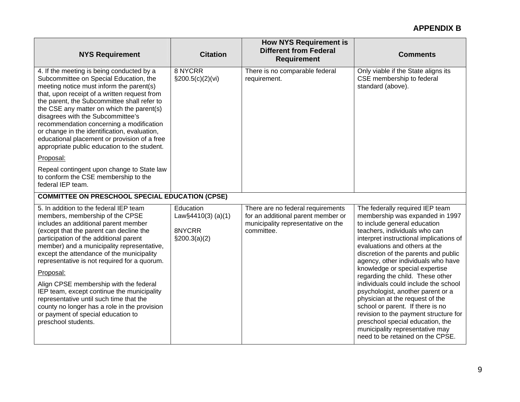| <b>NYS Requirement</b>                                                                                                                                                                                                                                                                                                                                                                                                                                                                                       | <b>Citation</b>                                              | <b>How NYS Requirement is</b><br><b>Different from Federal</b><br><b>Requirement</b>                                        | <b>Comments</b>                                                                                                                                                                                                                                                                                      |
|--------------------------------------------------------------------------------------------------------------------------------------------------------------------------------------------------------------------------------------------------------------------------------------------------------------------------------------------------------------------------------------------------------------------------------------------------------------------------------------------------------------|--------------------------------------------------------------|-----------------------------------------------------------------------------------------------------------------------------|------------------------------------------------------------------------------------------------------------------------------------------------------------------------------------------------------------------------------------------------------------------------------------------------------|
| 4. If the meeting is being conducted by a<br>Subcommittee on Special Education, the<br>meeting notice must inform the parent(s)<br>that, upon receipt of a written request from<br>the parent, the Subcommittee shall refer to<br>the CSE any matter on which the parent(s)<br>disagrees with the Subcommittee's<br>recommendation concerning a modification<br>or change in the identification, evaluation,<br>educational placement or provision of a free<br>appropriate public education to the student. | 8 NYCRR<br>$\S200.5(c)(2)(vi)$                               | There is no comparable federal<br>requirement.                                                                              | Only viable if the State aligns its<br>CSE membership to federal<br>standard (above).                                                                                                                                                                                                                |
| Proposal:                                                                                                                                                                                                                                                                                                                                                                                                                                                                                                    |                                                              |                                                                                                                             |                                                                                                                                                                                                                                                                                                      |
| Repeal contingent upon change to State law<br>to conform the CSE membership to the<br>federal IEP team.                                                                                                                                                                                                                                                                                                                                                                                                      |                                                              |                                                                                                                             |                                                                                                                                                                                                                                                                                                      |
| <b>COMMITTEE ON PRESCHOOL SPECIAL EDUCATION (CPSE)</b>                                                                                                                                                                                                                                                                                                                                                                                                                                                       |                                                              |                                                                                                                             |                                                                                                                                                                                                                                                                                                      |
| 5. In addition to the federal IEP team<br>members, membership of the CPSE<br>includes an additional parent member<br>(except that the parent can decline the<br>participation of the additional parent<br>member) and a municipality representative,<br>except the attendance of the municipality<br>representative is not required for a quorum.                                                                                                                                                            | Education<br>Law§4410(3) (a)(1)<br>8NYCRR<br>$\S200.3(a)(2)$ | There are no federal requirements<br>for an additional parent member or<br>municipality representative on the<br>committee. | The federally required IEP team<br>membership was expanded in 1997<br>to include general education<br>teachers, individuals who can<br>interpret instructional implications of<br>evaluations and others at the<br>discretion of the parents and public<br>agency, other individuals who have        |
| Proposal:                                                                                                                                                                                                                                                                                                                                                                                                                                                                                                    |                                                              |                                                                                                                             | knowledge or special expertise<br>regarding the child. These other                                                                                                                                                                                                                                   |
| Align CPSE membership with the federal<br>IEP team, except continue the municipality<br>representative until such time that the<br>county no longer has a role in the provision<br>or payment of special education to<br>preschool students.                                                                                                                                                                                                                                                                 |                                                              |                                                                                                                             | individuals could include the school<br>psychologist, another parent or a<br>physician at the request of the<br>school or parent. If there is no<br>revision to the payment structure for<br>preschool special education, the<br>municipality representative may<br>need to be retained on the CPSE. |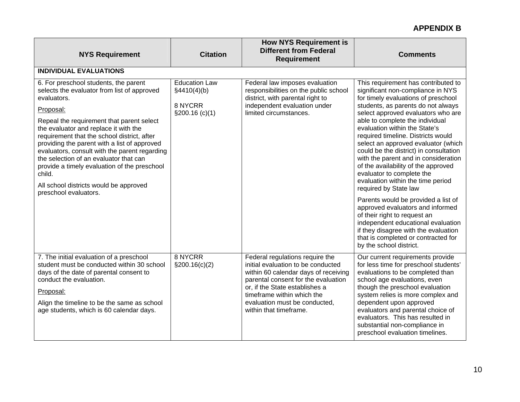| <b>NYS Requirement</b>                                                                                                                                                                                                                                                                                                                                                                                    | <b>Citation</b>                     | <b>How NYS Requirement is</b><br><b>Different from Federal</b><br><b>Requirement</b>                                                                                                                                                                                            | <b>Comments</b>                                                                                                                                                                                                                                                                                                                                                                               |
|-----------------------------------------------------------------------------------------------------------------------------------------------------------------------------------------------------------------------------------------------------------------------------------------------------------------------------------------------------------------------------------------------------------|-------------------------------------|---------------------------------------------------------------------------------------------------------------------------------------------------------------------------------------------------------------------------------------------------------------------------------|-----------------------------------------------------------------------------------------------------------------------------------------------------------------------------------------------------------------------------------------------------------------------------------------------------------------------------------------------------------------------------------------------|
| <b>INDIVIDUAL EVALUATIONS</b>                                                                                                                                                                                                                                                                                                                                                                             |                                     |                                                                                                                                                                                                                                                                                 |                                                                                                                                                                                                                                                                                                                                                                                               |
| 6. For preschool students, the parent<br>selects the evaluator from list of approved<br>evaluators.                                                                                                                                                                                                                                                                                                       | <b>Education Law</b><br>§4410(4)(b) | Federal law imposes evaluation<br>responsibilities on the public school<br>district, with parental right to                                                                                                                                                                     | This requirement has contributed to<br>significant non-compliance in NYS<br>for timely evaluations of preschool                                                                                                                                                                                                                                                                               |
| Proposal:                                                                                                                                                                                                                                                                                                                                                                                                 | 8 NYCRR<br>\$200.16 (c)(1)          | independent evaluation under<br>limited circumstances.                                                                                                                                                                                                                          | students, as parents do not always<br>select approved evaluators who are                                                                                                                                                                                                                                                                                                                      |
| Repeal the requirement that parent select<br>the evaluator and replace it with the<br>requirement that the school district, after<br>providing the parent with a list of approved<br>evaluators, consult with the parent regarding<br>the selection of an evaluator that can<br>provide a timely evaluation of the preschool<br>child.<br>All school districts would be approved<br>preschool evaluators. |                                     |                                                                                                                                                                                                                                                                                 | able to complete the individual<br>evaluation within the State's<br>required timeline. Districts would<br>select an approved evaluator (which<br>could be the district) in consultation<br>with the parent and in consideration<br>of the availability of the approved<br>evaluator to complete the<br>evaluation within the time period<br>required by State law                             |
|                                                                                                                                                                                                                                                                                                                                                                                                           |                                     |                                                                                                                                                                                                                                                                                 | Parents would be provided a list of<br>approved evaluators and informed<br>of their right to request an<br>independent educational evaluation<br>if they disagree with the evaluation<br>that is completed or contracted for<br>by the school district.                                                                                                                                       |
| 7. The initial evaluation of a preschool<br>student must be conducted within 30 school<br>days of the date of parental consent to<br>conduct the evaluation.<br>Proposal:<br>Align the timeline to be the same as school<br>age students, which is 60 calendar days.                                                                                                                                      | 8 NYCRR<br>$\S200.16(c)(2)$         | Federal regulations require the<br>initial evaluation to be conducted<br>within 60 calendar days of receiving<br>parental consent for the evaluation<br>or, if the State establishes a<br>timeframe within which the<br>evaluation must be conducted,<br>within that timeframe. | Our current requirements provide<br>for less time for preschool students'<br>evaluations to be completed than<br>school age evaluations, even<br>though the preschool evaluation<br>system relies is more complex and<br>dependent upon approved<br>evaluators and parental choice of<br>evaluators. This has resulted in<br>substantial non-compliance in<br>preschool evaluation timelines. |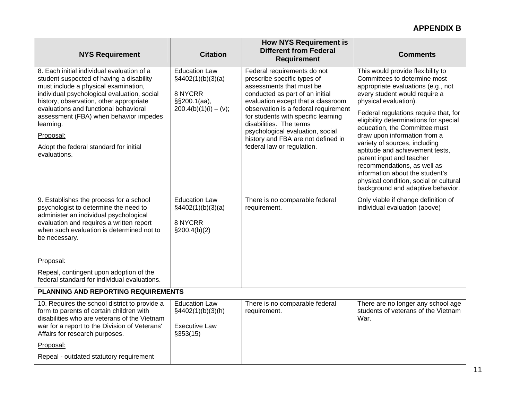| <b>NYS Requirement</b>                                                                                                                                                                                                                                                                                                                                                                          | <b>Citation</b>                                                                                 | <b>How NYS Requirement is</b><br><b>Different from Federal</b><br><b>Requirement</b>                                                                                                                                                                                                                                                                                              | <b>Comments</b>                                                                                                                                                                                                                                                                                                                                                                                                                                                                                                                                                        |
|-------------------------------------------------------------------------------------------------------------------------------------------------------------------------------------------------------------------------------------------------------------------------------------------------------------------------------------------------------------------------------------------------|-------------------------------------------------------------------------------------------------|-----------------------------------------------------------------------------------------------------------------------------------------------------------------------------------------------------------------------------------------------------------------------------------------------------------------------------------------------------------------------------------|------------------------------------------------------------------------------------------------------------------------------------------------------------------------------------------------------------------------------------------------------------------------------------------------------------------------------------------------------------------------------------------------------------------------------------------------------------------------------------------------------------------------------------------------------------------------|
| 8. Each initial individual evaluation of a<br>student suspected of having a disability<br>must include a physical examination,<br>individual psychological evaluation, social<br>history, observation, other appropriate<br>evaluations and functional behavioral<br>assessment (FBA) when behavior impedes<br>learning.<br>Proposal:<br>Adopt the federal standard for initial<br>evaluations. | <b>Education Law</b><br>§4402(1)(b)(3)(a)<br>8 NYCRR<br>§§200.1(aa),<br>$200.4(b)(1)(i) - (v);$ | Federal requirements do not<br>prescribe specific types of<br>assessments that must be<br>conducted as part of an initial<br>evaluation except that a classroom<br>observation is a federal requirement<br>for students with specific learning<br>disabilities. The terms<br>psychological evaluation, social<br>history and FBA are not defined in<br>federal law or regulation. | This would provide flexibility to<br>Committees to determine most<br>appropriate evaluations (e.g., not<br>every student would require a<br>physical evaluation).<br>Federal regulations require that, for<br>eligibility determinations for special<br>education, the Committee must<br>draw upon information from a<br>variety of sources, including<br>aptitude and achievement tests,<br>parent input and teacher<br>recommendations, as well as<br>information about the student's<br>physical condition, social or cultural<br>background and adaptive behavior. |
| 9. Establishes the process for a school<br>psychologist to determine the need to<br>administer an individual psychological<br>evaluation and requires a written report<br>when such evaluation is determined not to<br>be necessary.<br>Proposal:                                                                                                                                               | <b>Education Law</b><br>§4402(1)(b)(3)(a)<br>8 NYCRR<br>$\S200.4(b)(2)$                         | There is no comparable federal<br>requirement.                                                                                                                                                                                                                                                                                                                                    | Only viable if change definition of<br>individual evaluation (above)                                                                                                                                                                                                                                                                                                                                                                                                                                                                                                   |
| Repeal, contingent upon adoption of the<br>federal standard for individual evaluations.                                                                                                                                                                                                                                                                                                         |                                                                                                 |                                                                                                                                                                                                                                                                                                                                                                                   |                                                                                                                                                                                                                                                                                                                                                                                                                                                                                                                                                                        |
| PLANNING AND REPORTING REQUIREMENTS                                                                                                                                                                                                                                                                                                                                                             |                                                                                                 |                                                                                                                                                                                                                                                                                                                                                                                   |                                                                                                                                                                                                                                                                                                                                                                                                                                                                                                                                                                        |
| 10. Requires the school district to provide a<br>form to parents of certain children with<br>disabilities who are veterans of the Vietnam<br>war for a report to the Division of Veterans'<br>Affairs for research purposes.<br>Proposal:                                                                                                                                                       | <b>Education Law</b><br>§4402(1)(b)(3)(h)<br><b>Executive Law</b><br>\$353(15)                  | There is no comparable federal<br>requirement.                                                                                                                                                                                                                                                                                                                                    | There are no longer any school age<br>students of veterans of the Vietnam<br>War.                                                                                                                                                                                                                                                                                                                                                                                                                                                                                      |
| Repeal - outdated statutory requirement                                                                                                                                                                                                                                                                                                                                                         |                                                                                                 |                                                                                                                                                                                                                                                                                                                                                                                   |                                                                                                                                                                                                                                                                                                                                                                                                                                                                                                                                                                        |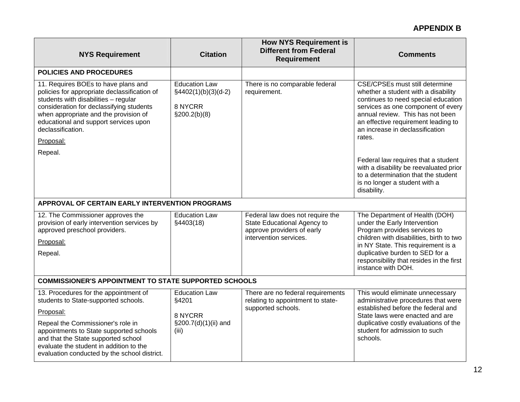| <b>NYS Requirement</b>                                                                                                                                                                                                                                                         | <b>Citation</b>                                                             | <b>How NYS Requirement is</b><br><b>Different from Federal</b><br><b>Requirement</b>          | <b>Comments</b>                                                                                                                                                                                                                                                                   |  |
|--------------------------------------------------------------------------------------------------------------------------------------------------------------------------------------------------------------------------------------------------------------------------------|-----------------------------------------------------------------------------|-----------------------------------------------------------------------------------------------|-----------------------------------------------------------------------------------------------------------------------------------------------------------------------------------------------------------------------------------------------------------------------------------|--|
| <b>POLICIES AND PROCEDURES</b>                                                                                                                                                                                                                                                 |                                                                             |                                                                                               |                                                                                                                                                                                                                                                                                   |  |
| 11. Requires BOEs to have plans and<br>policies for appropriate declassification of<br>students with disabilities - regular<br>consideration for declassifying students<br>when appropriate and the provision of<br>educational and support services upon<br>declassification. | <b>Education Law</b><br>$§4402(1)(b)(3)(d-2)$<br>8 NYCRR<br>$\S200.2(b)(8)$ | There is no comparable federal<br>requirement.                                                | <b>CSE/CPSEs must still determine</b><br>whether a student with a disability<br>continues to need special education<br>services as one component of every<br>annual review. This has not been<br>an effective requirement leading to<br>an increase in declassification<br>rates. |  |
| Proposal:                                                                                                                                                                                                                                                                      |                                                                             |                                                                                               |                                                                                                                                                                                                                                                                                   |  |
| Repeal.                                                                                                                                                                                                                                                                        |                                                                             |                                                                                               | Federal law requires that a student<br>with a disability be reevaluated prior<br>to a determination that the student<br>is no longer a student with a<br>disability.                                                                                                              |  |
| APPROVAL OF CERTAIN EARLY INTERVENTION PROGRAMS                                                                                                                                                                                                                                |                                                                             |                                                                                               |                                                                                                                                                                                                                                                                                   |  |
| 12. The Commissioner approves the<br>provision of early intervention services by<br>approved preschool providers.                                                                                                                                                              | <b>Education Law</b><br>§4403(18)                                           | Federal law does not require the<br>State Educational Agency to<br>approve providers of early | The Department of Health (DOH)<br>under the Early Intervention<br>Program provides services to                                                                                                                                                                                    |  |
| Proposal:                                                                                                                                                                                                                                                                      |                                                                             | intervention services.                                                                        | children with disabilities, birth to two<br>in NY State. This requirement is a                                                                                                                                                                                                    |  |
| Repeal.                                                                                                                                                                                                                                                                        |                                                                             |                                                                                               | duplicative burden to SED for a<br>responsibility that resides in the first<br>instance with DOH.                                                                                                                                                                                 |  |
| <b>COMMISSIONER'S APPOINTMENT TO STATE SUPPORTED SCHOOLS</b>                                                                                                                                                                                                                   |                                                                             |                                                                                               |                                                                                                                                                                                                                                                                                   |  |
| 13. Procedures for the appointment of<br>students to State-supported schools.                                                                                                                                                                                                  | <b>Education Law</b><br>§4201                                               | There are no federal requirements<br>relating to appointment to state-                        | This would eliminate unnecessary<br>administrative procedures that were                                                                                                                                                                                                           |  |
| Proposal:                                                                                                                                                                                                                                                                      | 8 NYCRR                                                                     | supported schools.                                                                            | established before the federal and<br>State laws were enacted and are                                                                                                                                                                                                             |  |
| Repeal the Commissioner's role in<br>appointments to State supported schools<br>and that the State supported school<br>evaluate the student in addition to the<br>evaluation conducted by the school district.                                                                 | §200.7(d)(1)(ii) and<br>(iii)                                               |                                                                                               | duplicative costly evaluations of the<br>student for admission to such<br>schools.                                                                                                                                                                                                |  |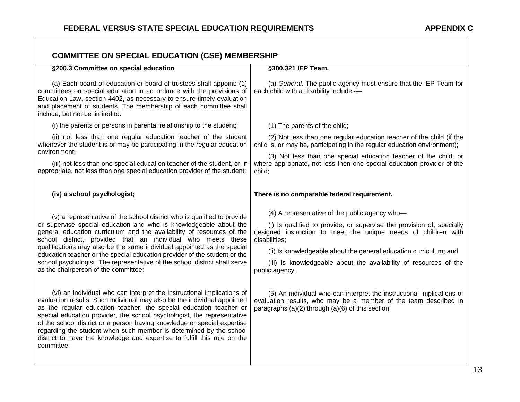| <b>COMMITTEE ON SPECIAL EDUCATION (CSE) MEMBERSHIP</b>                                                                                                                                                                                                                                                                                                                                                                                                                                                                                                              |                                                                                                                                                                                                                                                                                                                                                                        |  |  |
|---------------------------------------------------------------------------------------------------------------------------------------------------------------------------------------------------------------------------------------------------------------------------------------------------------------------------------------------------------------------------------------------------------------------------------------------------------------------------------------------------------------------------------------------------------------------|------------------------------------------------------------------------------------------------------------------------------------------------------------------------------------------------------------------------------------------------------------------------------------------------------------------------------------------------------------------------|--|--|
| §200.3 Committee on special education                                                                                                                                                                                                                                                                                                                                                                                                                                                                                                                               | §300.321 IEP Team.                                                                                                                                                                                                                                                                                                                                                     |  |  |
| (a) Each board of education or board of trustees shall appoint: (1)<br>committees on special education in accordance with the provisions of<br>Education Law, section 4402, as necessary to ensure timely evaluation<br>and placement of students. The membership of each committee shall<br>include, but not be limited to:                                                                                                                                                                                                                                        | (a) General. The public agency must ensure that the IEP Team for<br>each child with a disability includes-                                                                                                                                                                                                                                                             |  |  |
| (i) the parents or persons in parental relationship to the student;                                                                                                                                                                                                                                                                                                                                                                                                                                                                                                 | (1) The parents of the child;                                                                                                                                                                                                                                                                                                                                          |  |  |
| (ii) not less than one regular education teacher of the student<br>whenever the student is or may be participating in the regular education                                                                                                                                                                                                                                                                                                                                                                                                                         | (2) Not less than one regular education teacher of the child (if the<br>child is, or may be, participating in the regular education environment);                                                                                                                                                                                                                      |  |  |
| environment;<br>(iii) not less than one special education teacher of the student, or, if<br>appropriate, not less than one special education provider of the student;                                                                                                                                                                                                                                                                                                                                                                                               | (3) Not less than one special education teacher of the child, or<br>where appropriate, not less then one special education provider of the<br>child;                                                                                                                                                                                                                   |  |  |
| (iv) a school psychologist;                                                                                                                                                                                                                                                                                                                                                                                                                                                                                                                                         | There is no comparable federal requirement.                                                                                                                                                                                                                                                                                                                            |  |  |
| (v) a representative of the school district who is qualified to provide<br>or supervise special education and who is knowledgeable about the<br>general education curriculum and the availability of resources of the<br>school district, provided that an individual who meets these<br>qualifications may also be the same individual appointed as the special<br>education teacher or the special education provider of the student or the<br>school psychologist. The representative of the school district shall serve<br>as the chairperson of the committee; | (4) A representative of the public agency who-<br>(i) Is qualified to provide, or supervise the provision of, specially<br>designed instruction to meet the unique needs of children with<br>disabilities;<br>(ii) Is knowledgeable about the general education curriculum; and<br>(iii) Is knowledgeable about the availability of resources of the<br>public agency. |  |  |
| (vi) an individual who can interpret the instructional implications of<br>evaluation results. Such individual may also be the individual appointed<br>as the regular education teacher, the special education teacher or<br>special education provider, the school psychologist, the representative<br>of the school district or a person having knowledge or special expertise<br>regarding the student when such member is determined by the school<br>district to have the knowledge and expertise to fulfill this role on the<br>committee;                     | (5) An individual who can interpret the instructional implications of<br>evaluation results, who may be a member of the team described in<br>paragraphs (a)(2) through (a)(6) of this section;                                                                                                                                                                         |  |  |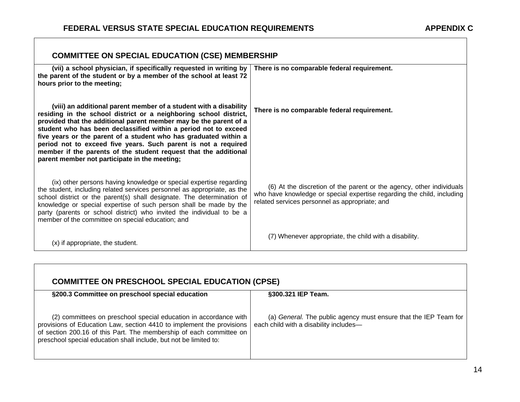$\sqrt{ }$ 

| <b>COMMITTEE ON SPECIAL EDUCATION (CSE) MEMBERSHIP</b>                                                                                                                                                                                                                                                                                                                                                                                                                                                                                    |                                                                                                                                                                                                  |  |  |
|-------------------------------------------------------------------------------------------------------------------------------------------------------------------------------------------------------------------------------------------------------------------------------------------------------------------------------------------------------------------------------------------------------------------------------------------------------------------------------------------------------------------------------------------|--------------------------------------------------------------------------------------------------------------------------------------------------------------------------------------------------|--|--|
| (vii) a school physician, if specifically requested in writing by<br>the parent of the student or by a member of the school at least 72<br>hours prior to the meeting;                                                                                                                                                                                                                                                                                                                                                                    | There is no comparable federal requirement.                                                                                                                                                      |  |  |
| (viii) an additional parent member of a student with a disability<br>residing in the school district or a neighboring school district,<br>provided that the additional parent member may be the parent of a<br>student who has been declassified within a period not to exceed<br>five years or the parent of a student who has graduated within a<br>period not to exceed five years. Such parent is not a required<br>member if the parents of the student request that the additional<br>parent member not participate in the meeting; | There is no comparable federal requirement.                                                                                                                                                      |  |  |
| (ix) other persons having knowledge or special expertise regarding<br>the student, including related services personnel as appropriate, as the<br>school district or the parent(s) shall designate. The determination of<br>knowledge or special expertise of such person shall be made by the<br>party (parents or school district) who invited the individual to be a<br>member of the committee on special education; and                                                                                                              | (6) At the discretion of the parent or the agency, other individuals<br>who have knowledge or special expertise regarding the child, including<br>related services personnel as appropriate; and |  |  |
| (x) if appropriate, the student.                                                                                                                                                                                                                                                                                                                                                                                                                                                                                                          | (7) Whenever appropriate, the child with a disability.                                                                                                                                           |  |  |

| <b>COMMITTEE ON PRESCHOOL SPECIAL EDUCATION (CPSE)</b>                                                                                                                                                                                                                                |                                                                                                            |  |
|---------------------------------------------------------------------------------------------------------------------------------------------------------------------------------------------------------------------------------------------------------------------------------------|------------------------------------------------------------------------------------------------------------|--|
| §200.3 Committee on preschool special education                                                                                                                                                                                                                                       | §300.321 IEP Team.                                                                                         |  |
| (2) committees on preschool special education in accordance with<br>provisions of Education Law, section 4410 to implement the provisions<br>of section 200.16 of this Part. The membership of each committee on<br>preschool special education shall include, but not be limited to: | (a) General. The public agency must ensure that the IEP Team for<br>each child with a disability includes- |  |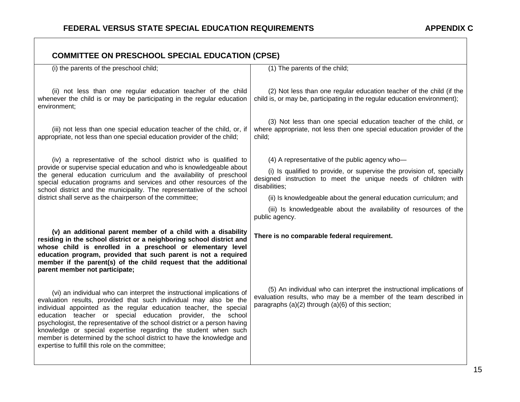| <b>COMMITTEE ON PRESCHOOL SPECIAL EDUCATION (CPSE)</b>                                                                                                                                                                                                                                                                                                                                                                                                                                                                                                        |                                                                                                                                                                                                |
|---------------------------------------------------------------------------------------------------------------------------------------------------------------------------------------------------------------------------------------------------------------------------------------------------------------------------------------------------------------------------------------------------------------------------------------------------------------------------------------------------------------------------------------------------------------|------------------------------------------------------------------------------------------------------------------------------------------------------------------------------------------------|
| (i) the parents of the preschool child;                                                                                                                                                                                                                                                                                                                                                                                                                                                                                                                       | (1) The parents of the child;                                                                                                                                                                  |
| (ii) not less than one regular education teacher of the child<br>whenever the child is or may be participating in the regular education<br>environment;                                                                                                                                                                                                                                                                                                                                                                                                       | (2) Not less than one regular education teacher of the child (if the<br>child is, or may be, participating in the regular education environment);                                              |
| (iii) not less than one special education teacher of the child, or, if<br>appropriate, not less than one special education provider of the child;                                                                                                                                                                                                                                                                                                                                                                                                             | (3) Not less than one special education teacher of the child, or<br>where appropriate, not less then one special education provider of the<br>child:                                           |
| (iv) a representative of the school district who is qualified to                                                                                                                                                                                                                                                                                                                                                                                                                                                                                              | (4) A representative of the public agency who-                                                                                                                                                 |
| provide or supervise special education and who is knowledgeable about<br>the general education curriculum and the availability of preschool<br>special education programs and services and other resources of the<br>school district and the municipality. The representative of the school                                                                                                                                                                                                                                                                   | (i) Is qualified to provide, or supervise the provision of, specially<br>designed instruction to meet the unique needs of children with<br>disabilities:                                       |
| district shall serve as the chairperson of the committee;                                                                                                                                                                                                                                                                                                                                                                                                                                                                                                     | (ii) Is knowledgeable about the general education curriculum; and                                                                                                                              |
|                                                                                                                                                                                                                                                                                                                                                                                                                                                                                                                                                               | (iii) Is knowledgeable about the availability of resources of the<br>public agency.                                                                                                            |
| (v) an additional parent member of a child with a disability<br>residing in the school district or a neighboring school district and<br>whose child is enrolled in a preschool or elementary level<br>education program, provided that such parent is not a required<br>member if the parent(s) of the child request that the additional<br>parent member not participate;                                                                                                                                                                                    | There is no comparable federal requirement.                                                                                                                                                    |
| (vi) an individual who can interpret the instructional implications of<br>evaluation results, provided that such individual may also be the<br>individual appointed as the regular education teacher, the special<br>education teacher or special education provider, the school<br>psychologist, the representative of the school district or a person having<br>knowledge or special expertise regarding the student when such<br>member is determined by the school district to have the knowledge and<br>expertise to fulfill this role on the committee; | (5) An individual who can interpret the instructional implications of<br>evaluation results, who may be a member of the team described in<br>paragraphs (a)(2) through (a)(6) of this section; |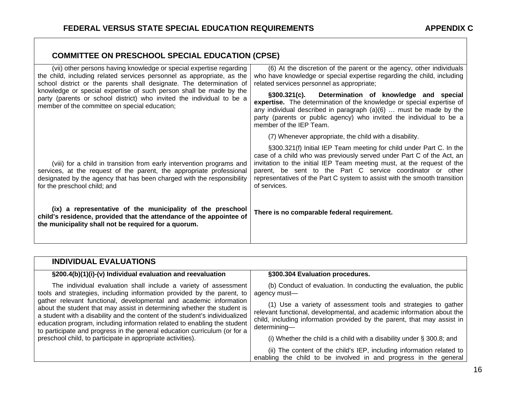| <b>COMMITTEE ON PRESCHOOL SPECIAL EDUCATION (CPSE)</b>                                                                                                                                                                                                                                                                                                                                                                |                                                                                                                                                                                                                                                                                                                                                                                   |
|-----------------------------------------------------------------------------------------------------------------------------------------------------------------------------------------------------------------------------------------------------------------------------------------------------------------------------------------------------------------------------------------------------------------------|-----------------------------------------------------------------------------------------------------------------------------------------------------------------------------------------------------------------------------------------------------------------------------------------------------------------------------------------------------------------------------------|
| (vii) other persons having knowledge or special expertise regarding<br>the child, including related services personnel as appropriate, as the<br>school district or the parents shall designate. The determination of<br>knowledge or special expertise of such person shall be made by the<br>party (parents or school district) who invited the individual to be a<br>member of the committee on special education; | (6) At the discretion of the parent or the agency, other individuals<br>who have knowledge or special expertise regarding the child, including<br>related services personnel as appropriate;                                                                                                                                                                                      |
|                                                                                                                                                                                                                                                                                                                                                                                                                       | §300.321(c). Determination of knowledge and special<br>expertise. The determination of the knowledge or special expertise of<br>any individual described in paragraph $(a)(6)$ must be made by the<br>party (parents or public agency) who invited the individual to be a<br>member of the IEP Team.                                                                              |
|                                                                                                                                                                                                                                                                                                                                                                                                                       | (7) Whenever appropriate, the child with a disability.                                                                                                                                                                                                                                                                                                                            |
| (viii) for a child in transition from early intervention programs and<br>services, at the request of the parent, the appropriate professional<br>designated by the agency that has been charged with the responsibility<br>for the preschool child; and                                                                                                                                                               | §300.321(f) Initial IEP Team meeting for child under Part C. In the<br>case of a child who was previously served under Part C of the Act, an<br>invitation to the initial IEP Team meeting must, at the request of the<br>parent, be sent to the Part C service coordinator or other<br>representatives of the Part C system to assist with the smooth transition<br>of services. |
| (ix) a representative of the municipality of the preschool<br>child's residence, provided that the attendance of the appointee of<br>the municipality shall not be required for a quorum.                                                                                                                                                                                                                             | There is no comparable federal requirement.                                                                                                                                                                                                                                                                                                                                       |

| <b>INDIVIDUAL EVALUATIONS</b>                                                                                                                                                                                                                                                                                                                                                                                                                                                                                                                                                                     |                                                                                                                                                                                                                                     |
|---------------------------------------------------------------------------------------------------------------------------------------------------------------------------------------------------------------------------------------------------------------------------------------------------------------------------------------------------------------------------------------------------------------------------------------------------------------------------------------------------------------------------------------------------------------------------------------------------|-------------------------------------------------------------------------------------------------------------------------------------------------------------------------------------------------------------------------------------|
| §200.4(b)(1)(i)-(v) Individual evaluation and reevaluation                                                                                                                                                                                                                                                                                                                                                                                                                                                                                                                                        | §300.304 Evaluation procedures.                                                                                                                                                                                                     |
| The individual evaluation shall include a variety of assessment<br>tools and strategies, including information provided by the parent, to<br>gather relevant functional, developmental and academic information<br>about the student that may assist in determining whether the student is<br>a student with a disability and the content of the student's individualized<br>education program, including information related to enabling the student<br>to participate and progress in the general education curriculum (or for a<br>preschool child, to participate in appropriate activities). | (b) Conduct of evaluation. In conducting the evaluation, the public<br>agency must-                                                                                                                                                 |
|                                                                                                                                                                                                                                                                                                                                                                                                                                                                                                                                                                                                   | (1) Use a variety of assessment tools and strategies to gather<br>relevant functional, developmental, and academic information about the<br>child, including information provided by the parent, that may assist in<br>determining- |
|                                                                                                                                                                                                                                                                                                                                                                                                                                                                                                                                                                                                   | (i) Whether the child is a child with a disability under $\S$ 300.8; and                                                                                                                                                            |
|                                                                                                                                                                                                                                                                                                                                                                                                                                                                                                                                                                                                   | (ii) The content of the child's IEP, including information related to<br>enabling the child to be involved in and progress in the general                                                                                           |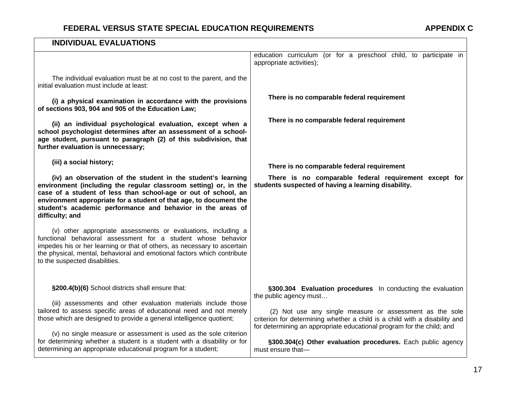| <b>INDIVIDUAL EVALUATIONS</b>                                                                                                                                                                                                                                                                                                                              |                                                                                                                                                                                                                                           |
|------------------------------------------------------------------------------------------------------------------------------------------------------------------------------------------------------------------------------------------------------------------------------------------------------------------------------------------------------------|-------------------------------------------------------------------------------------------------------------------------------------------------------------------------------------------------------------------------------------------|
|                                                                                                                                                                                                                                                                                                                                                            | education curriculum (or for a preschool child, to participate in<br>appropriate activities);                                                                                                                                             |
| The individual evaluation must be at no cost to the parent, and the<br>initial evaluation must include at least:                                                                                                                                                                                                                                           |                                                                                                                                                                                                                                           |
| (i) a physical examination in accordance with the provisions<br>of sections 903, 904 and 905 of the Education Law;                                                                                                                                                                                                                                         | There is no comparable federal requirement                                                                                                                                                                                                |
| (ii) an individual psychological evaluation, except when a<br>school psychologist determines after an assessment of a school-<br>age student, pursuant to paragraph (2) of this subdivision, that<br>further evaluation is unnecessary;                                                                                                                    | There is no comparable federal requirement                                                                                                                                                                                                |
| (iii) a social history;                                                                                                                                                                                                                                                                                                                                    | There is no comparable federal requirement                                                                                                                                                                                                |
| (iv) an observation of the student in the student's learning<br>environment (including the regular classroom setting) or, in the<br>case of a student of less than school-age or out of school, an<br>environment appropriate for a student of that age, to document the<br>student's academic performance and behavior in the areas of<br>difficulty; and | There is no comparable federal requirement except for<br>students suspected of having a learning disability.                                                                                                                              |
| (v) other appropriate assessments or evaluations, including a<br>functional behavioral assessment for a student whose behavior<br>impedes his or her learning or that of others, as necessary to ascertain<br>the physical, mental, behavioral and emotional factors which contribute<br>to the suspected disabilities.                                    |                                                                                                                                                                                                                                           |
| §200.4(b)(6) School districts shall ensure that:                                                                                                                                                                                                                                                                                                           | §300.304 Evaluation procedures In conducting the evaluation                                                                                                                                                                               |
| (iii) assessments and other evaluation materials include those<br>tailored to assess specific areas of educational need and not merely<br>those which are designed to provide a general intelligence quotient;                                                                                                                                             | the public agency must<br>(2) Not use any single measure or assessment as the sole<br>criterion for determining whether a child is a child with a disability and<br>for determining an appropriate educational program for the child; and |
| (v) no single measure or assessment is used as the sole criterion<br>for determining whether a student is a student with a disability or for<br>determining an appropriate educational program for a student;                                                                                                                                              | §300.304(c) Other evaluation procedures. Each public agency<br>must ensure that-                                                                                                                                                          |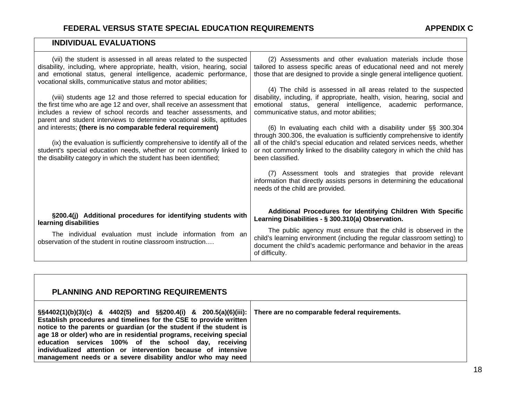#### **INDIVIDUAL EVALUATIONS**

| (vii) the student is assessed in all areas related to the suspected<br>disability, including, where appropriate, health, vision, hearing, social<br>and emotional status, general intelligence, academic performance,<br>vocational skills, communicative status and motor abilities;                                                                                                                                                                                                                                                                                                 | (2) Assessments and other evaluation materials include those<br>tailored to assess specific areas of educational need and not merely<br>those that are designed to provide a single general intelligence quotient.                                                                                                                                                                                                                                                                                                                                                                       |
|---------------------------------------------------------------------------------------------------------------------------------------------------------------------------------------------------------------------------------------------------------------------------------------------------------------------------------------------------------------------------------------------------------------------------------------------------------------------------------------------------------------------------------------------------------------------------------------|------------------------------------------------------------------------------------------------------------------------------------------------------------------------------------------------------------------------------------------------------------------------------------------------------------------------------------------------------------------------------------------------------------------------------------------------------------------------------------------------------------------------------------------------------------------------------------------|
| (viii) students age 12 and those referred to special education for<br>the first time who are age 12 and over, shall receive an assessment that<br>includes a review of school records and teacher assessments, and<br>parent and student interviews to determine vocational skills, aptitudes<br>and interests; (there is no comparable federal requirement)<br>(ix) the evaluation is sufficiently comprehensive to identify all of the<br>student's special education needs, whether or not commonly linked to<br>the disability category in which the student has been identified; | (4) The child is assessed in all areas related to the suspected<br>disability, including, if appropriate, health, vision, hearing, social and<br>emotional status, general intelligence, academic performance,<br>communicative status, and motor abilities;<br>(6) In evaluating each child with a disability under §§ 300.304<br>through 300.306, the evaluation is sufficiently comprehensive to identify<br>all of the child's special education and related services needs, whether<br>or not commonly linked to the disability category in which the child has<br>been classified. |
|                                                                                                                                                                                                                                                                                                                                                                                                                                                                                                                                                                                       | (7) Assessment tools and strategies that provide relevant<br>information that directly assists persons in determining the educational<br>needs of the child are provided.                                                                                                                                                                                                                                                                                                                                                                                                                |
| §200.4(j) Additional procedures for identifying students with<br>learning disabilities                                                                                                                                                                                                                                                                                                                                                                                                                                                                                                | Additional Procedures for Identifying Children With Specific<br>Learning Disabilities - § 300.310(a) Observation.                                                                                                                                                                                                                                                                                                                                                                                                                                                                        |
| The individual evaluation must include information from an<br>observation of the student in routine classroom instruction                                                                                                                                                                                                                                                                                                                                                                                                                                                             | The public agency must ensure that the child is observed in the<br>child's learning environment (including the regular classroom setting) to<br>document the child's academic performance and behavior in the areas<br>of difficulty.                                                                                                                                                                                                                                                                                                                                                    |

| <b>PLANNING AND REPORTING REQUIREMENTS</b>                                                                                                                                                                                                                                                                                                                                                                                                                                           |                                               |
|--------------------------------------------------------------------------------------------------------------------------------------------------------------------------------------------------------------------------------------------------------------------------------------------------------------------------------------------------------------------------------------------------------------------------------------------------------------------------------------|-----------------------------------------------|
| $\S$ \$4402(1)(b)(3)(c) & 4402(5) and $\S$ \$200.4(i) & 200.5(a)(6)(iii):<br>Establish procedures and timelines for the CSE to provide written<br>notice to the parents or guardian (or the student if the student is<br>age 18 or older) who are in residential programs, receiving special<br>education services 100% of the school day, receiving<br>individualized attention or intervention because of intensive<br>management needs or a severe disability and/or who may need | There are no comparable federal requirements. |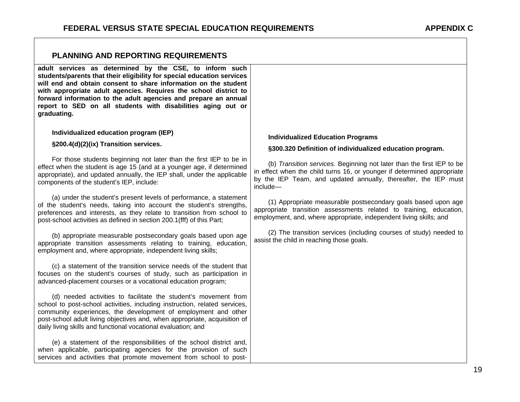| PLANNING AND REPORTING REQUIREMENTS                                                                                                                                                                                                                                                                                                                                                                                        |                                                                                                                                                                                                                                 |
|----------------------------------------------------------------------------------------------------------------------------------------------------------------------------------------------------------------------------------------------------------------------------------------------------------------------------------------------------------------------------------------------------------------------------|---------------------------------------------------------------------------------------------------------------------------------------------------------------------------------------------------------------------------------|
| adult services as determined by the CSE, to inform such<br>students/parents that their eligibility for special education services<br>will end and obtain consent to share information on the student<br>with appropriate adult agencies. Requires the school district to<br>forward information to the adult agencies and prepare an annual<br>report to SED on all students with disabilities aging out or<br>graduating. |                                                                                                                                                                                                                                 |
| Individualized education program (IEP)                                                                                                                                                                                                                                                                                                                                                                                     | <b>Individualized Education Programs</b>                                                                                                                                                                                        |
| §200.4(d)(2)(ix) Transition services.                                                                                                                                                                                                                                                                                                                                                                                      | §300.320 Definition of individualized education program.                                                                                                                                                                        |
| For those students beginning not later than the first IEP to be in<br>effect when the student is age 15 (and at a younger age, if determined<br>appropriate), and updated annually, the IEP shall, under the applicable<br>components of the student's IEP, include:                                                                                                                                                       | (b) Transition services. Beginning not later than the first IEP to be<br>in effect when the child turns 16, or younger if determined appropriate<br>by the IEP Team, and updated annually, thereafter, the IEP must<br>include- |
| (a) under the student's present levels of performance, a statement<br>of the student's needs, taking into account the student's strengths,<br>preferences and interests, as they relate to transition from school to<br>post-school activities as defined in section 200.1(fff) of this Part;                                                                                                                              | (1) Appropriate measurable postsecondary goals based upon age<br>appropriate transition assessments related to training, education,<br>employment, and, where appropriate, independent living skills; and                       |
| (b) appropriate measurable postsecondary goals based upon age<br>appropriate transition assessments relating to training, education,<br>employment and, where appropriate, independent living skills;                                                                                                                                                                                                                      | (2) The transition services (including courses of study) needed to<br>assist the child in reaching those goals.                                                                                                                 |
| (c) a statement of the transition service needs of the student that<br>focuses on the student's courses of study, such as participation in<br>advanced-placement courses or a vocational education program;                                                                                                                                                                                                                |                                                                                                                                                                                                                                 |
| (d) needed activities to facilitate the student's movement from<br>school to post-school activities, including instruction, related services,<br>community experiences, the development of employment and other<br>post-school adult living objectives and, when appropriate, acquisition of<br>daily living skills and functional vocational evaluation; and                                                              |                                                                                                                                                                                                                                 |
| (e) a statement of the responsibilities of the school district and,<br>when applicable, participating agencies for the provision of such<br>services and activities that promote movement from school to post-                                                                                                                                                                                                             |                                                                                                                                                                                                                                 |